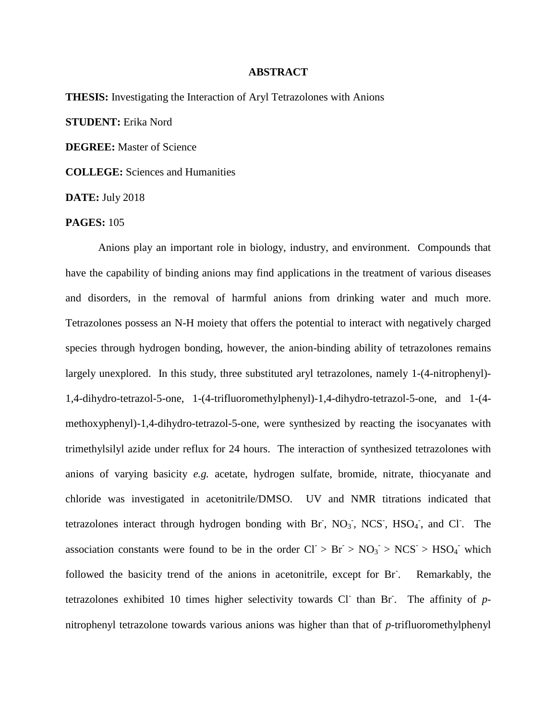## **ABSTRACT**

**THESIS:** Investigating the Interaction of Aryl Tetrazolones with Anions **STUDENT:** Erika Nord **DEGREE:** Master of Science **COLLEGE:** Sciences and Humanities **DATE:** July 2018 **PAGES:** 105

Anions play an important role in biology, industry, and environment. Compounds that have the capability of binding anions may find applications in the treatment of various diseases and disorders, in the removal of harmful anions from drinking water and much more. Tetrazolones possess an N-H moiety that offers the potential to interact with negatively charged species through hydrogen bonding, however, the anion-binding ability of tetrazolones remains largely unexplored. In this study, three substituted aryl tetrazolones, namely 1-(4-nitrophenyl)- 1,4-dihydro-tetrazol-5-one, 1-(4-trifluoromethylphenyl)-1,4-dihydro-tetrazol-5-one, and 1-(4 methoxyphenyl)-1,4-dihydro-tetrazol-5-one, were synthesized by reacting the isocyanates with trimethylsilyl azide under reflux for 24 hours. The interaction of synthesized tetrazolones with anions of varying basicity *e.g.* acetate, hydrogen sulfate, bromide, nitrate, thiocyanate and chloride was investigated in acetonitrile/DMSO. UV and NMR titrations indicated that tetrazolones interact through hydrogen bonding with Br,  $NO<sub>3</sub>$ , NCS, HSO<sub>4</sub>, and Cl. The association constants were found to be in the order  $CI > Br > NO<sub>3</sub> > NCS > HSO<sub>4</sub>$  which followed the basicity trend of the anions in acetonitrile, except for Br- . Remarkably, the tetrazolones exhibited 10 times higher selectivity towards  $CI$  than  $Br$ . The affinity of  $p$ nitrophenyl tetrazolone towards various anions was higher than that of *p*-trifluoromethylphenyl